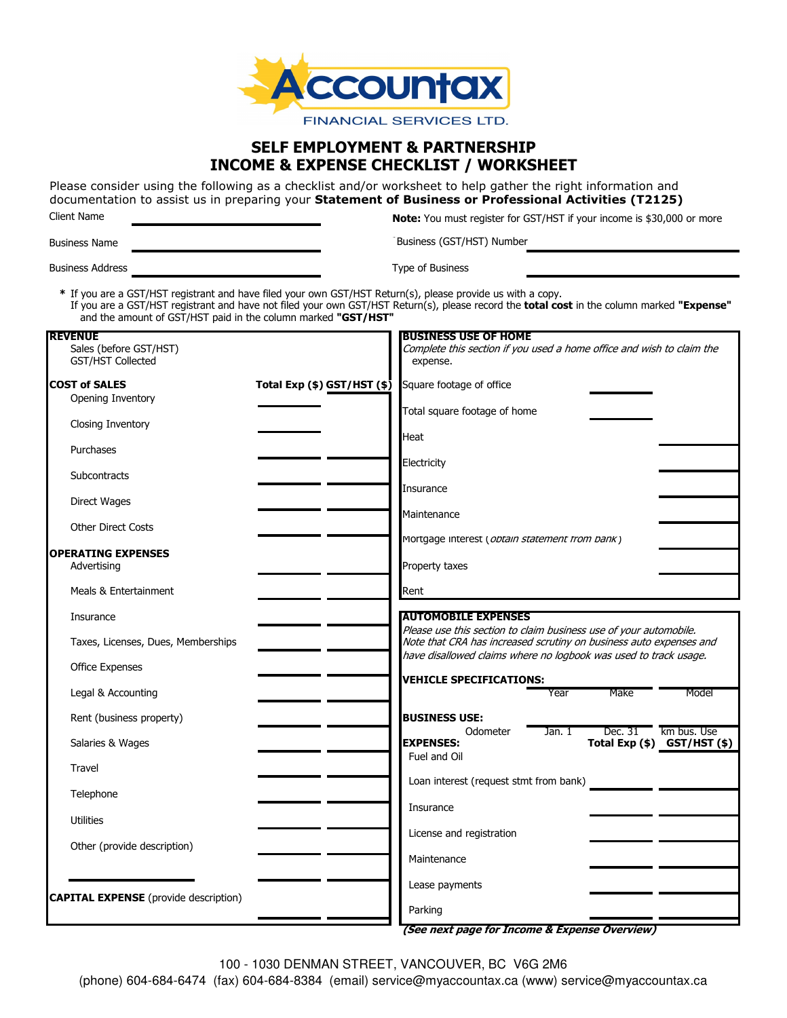

# **SELF EMPLOYMENT & PARTNERSHIP INCOME & EXPENSE CHECKLIST / WORKSHEET**

Please consider using the following as a checklist and/or worksheet to help gather the right information and documentation to assist us in preparing your **Statement of Business or Professional Activities (T2125)** Client Name **Note:** You must register for GST/HST if your income is \$30,000 or more

Business Name **\***

Business Address **Address Example 20** Security **Type of Business** 

Business (GST/HST) Number

**\*** If you are a GST/HST registrant and have filed your own GST/HST Return(s), please provide us with a copy. If you are a GST/HST registrant and have not filed your own GST/HST Return(s), please record the **total cost** in the column marked **"Expense"** and the amount of GST/HST paid in the column marked **"GST/HST"**

| <b>REVENUE</b><br>Sales (before GST/HST)     |                             | <b>BUSINESS USE OF HOME</b><br>Complete this section if you used a home office and wish to claim the                                                                                                        |
|----------------------------------------------|-----------------------------|-------------------------------------------------------------------------------------------------------------------------------------------------------------------------------------------------------------|
| GST/HST Collected                            |                             | expense.                                                                                                                                                                                                    |
| <b>COST of SALES</b><br>Opening Inventory    | Total Exp (\$) GST/HST (\$) | Square footage of office                                                                                                                                                                                    |
| Closing Inventory                            |                             | Total square footage of home<br>Heat                                                                                                                                                                        |
| Purchases                                    |                             |                                                                                                                                                                                                             |
| Subcontracts                                 |                             | Electricity                                                                                                                                                                                                 |
| Direct Wages                                 |                             | Insurance                                                                                                                                                                                                   |
| <b>Other Direct Costs</b>                    |                             | Maintenance                                                                                                                                                                                                 |
| <b>OPERATING EXPENSES</b>                    |                             | Mortgage interest (obtain statement trom bank)                                                                                                                                                              |
| Advertising                                  |                             | Property taxes                                                                                                                                                                                              |
| Meals & Entertainment                        |                             | Rent                                                                                                                                                                                                        |
| Insurance                                    |                             | <b>AUTOMOBILE EXPENSES</b>                                                                                                                                                                                  |
| Taxes, Licenses, Dues, Memberships           |                             | Please use this section to claim business use of your automobile.<br>Note that CRA has increased scrutiny on business auto expenses and<br>have disallowed claims where no logbook was used to track usage. |
| Office Expenses                              |                             |                                                                                                                                                                                                             |
| Legal & Accounting                           |                             | <b>VEHICLE SPECIFICATIONS:</b><br>Make<br>Year<br>Model                                                                                                                                                     |
| Rent (business property)                     |                             | <b>BUSINESS USE:</b>                                                                                                                                                                                        |
| Salaries & Wages                             |                             | km bus. Use<br>Odometer<br>Jan. 1<br>Dec. 31<br><b>EXPENSES:</b><br>Total Exp $($ \$) GST/HST $($ \$)                                                                                                       |
| Travel                                       |                             | Fuel and Oil                                                                                                                                                                                                |
| Telephone                                    |                             | Loan interest (request stmt from bank)                                                                                                                                                                      |
| <b>Utilities</b>                             |                             | Insurance                                                                                                                                                                                                   |
| Other (provide description)                  |                             | License and registration                                                                                                                                                                                    |
|                                              |                             | Maintenance                                                                                                                                                                                                 |
| <b>CAPITAL EXPENSE</b> (provide description) |                             | Lease payments                                                                                                                                                                                              |
|                                              |                             | Parking                                                                                                                                                                                                     |
|                                              |                             | (See next page for Income & Expense Overview)                                                                                                                                                               |

100 - 1030 DENMAN STREET, VANCOUVER, BC V6G 2M6

(phone) 604-684-6474 (fax) 604-684-8384 (email) service@myaccountax.ca (www) service@myaccountax.ca